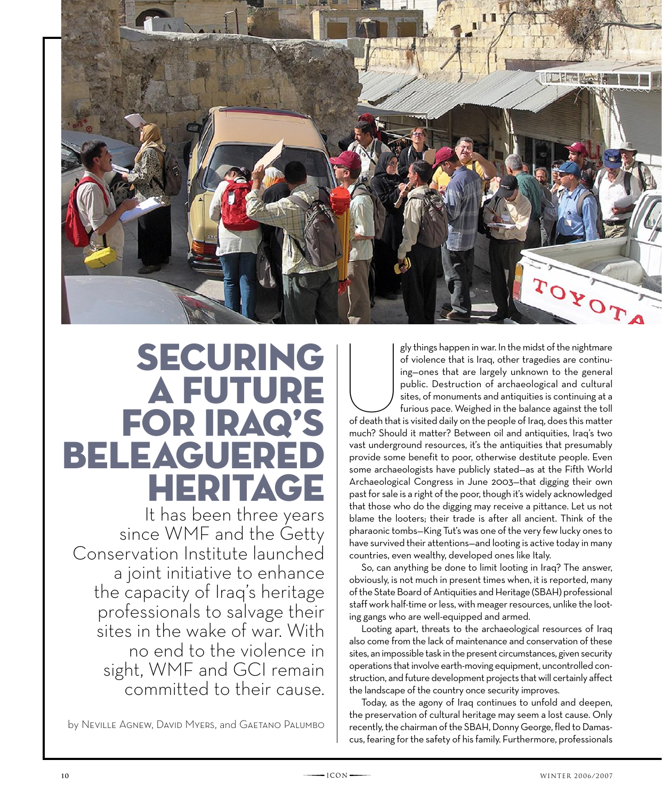

## **SECURING** a future for Iraq's beleaguered heritage

It has been three years since WMF and the Getty Conservation Institute launched a joint initiative to enhance the capacity of Iraq's heritage professionals to salvage their sites in the wake of war. With no end to the violence in sight, WMF and GCI remain committed to their cause.

by Neville Agnew, David Myers, and Gaetano Palumbo

 $\begin{array}{c}\n\hline\n\end{array}$ gly things happen in war. In the midst of the nightmare of violence that is Iraq, other tragedies are continuing—ones that are largely unknown to the general public. Destruction of archaeological and cultural sites, of monuments and antiquities is continuing at a furious pace. Weighed in the balance against the toll of death that is visited daily on the people of Iraq, does this matter much? Should it matter? Between oil and antiquities, Iraq's two vast underground resources, it's the antiquities that presumably provide some benefit to poor, otherwise destitute people. Even some archaeologists have publicly stated—as at the Fifth World Archaeological Congress in June 2003—that digging their own past for sale is a right of the poor, though it's widely acknowledged that those who do the digging may receive a pittance. Let us not blame the looters; their trade is after all ancient. Think of the pharaonic tombs—King Tut's was one of the very few lucky ones to have survived their attentions—and looting is active today in many countries, even wealthy, developed ones like Italy.

So, can anything be done to limit looting in Iraq? The answer, obviously, is not much in present times when, it is reported, many of the State Board of Antiquities and Heritage (SBAH) professional staff work half-time or less, with meager resources, unlike the looting gangs who are well-equipped and armed.

Looting apart, threats to the archaeological resources of Iraq also come from the lack of maintenance and conservation of these sites, an impossible task in the present circumstances, given security operations that involve earth-moving equipment, uncontrolled construction, and future development projects that will certainly affect the landscape of the country once security improves.

Today, as the agony of Iraq continues to unfold and deepen, the preservation of cultural heritage may seem a lost cause. Only recently, the chairman of the SBAH, Donny George, fled to Damascus, fearing for the safety of his family. Furthermore, professionals